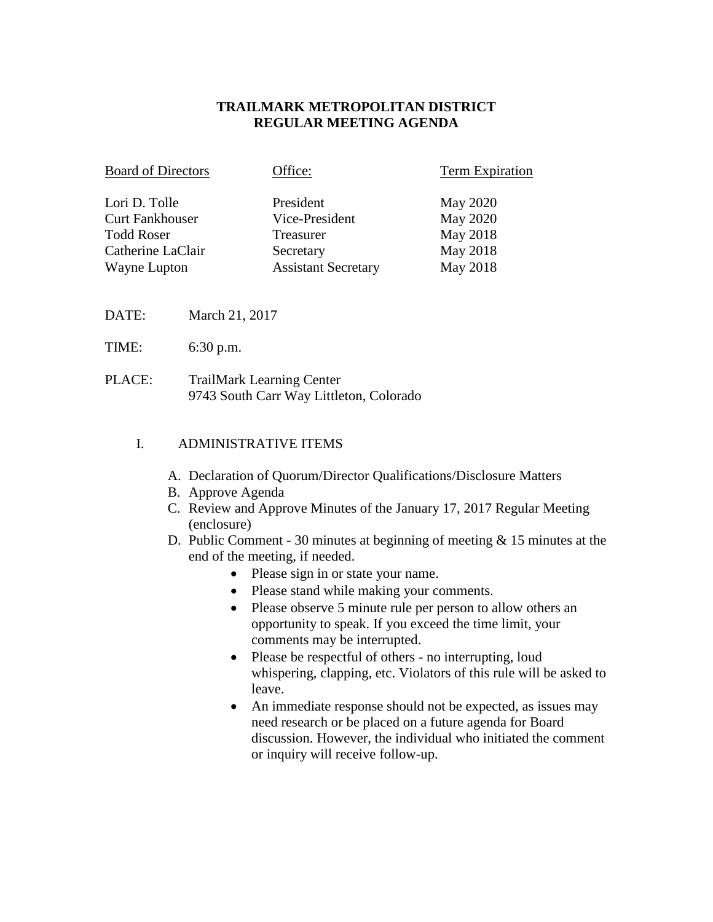## **TRAILMARK METROPOLITAN DISTRICT REGULAR MEETING AGENDA**

| <b>Board of Directors</b> | Office:                    | <b>Term Expiration</b> |
|---------------------------|----------------------------|------------------------|
| Lori D. Tolle             | President                  | <b>May 2020</b>        |
| <b>Curt Fankhouser</b>    | Vice-President             | May 2020               |
| <b>Todd Roser</b>         | Treasurer                  | May 2018               |
| Catherine LaClair         | Secretary                  | May 2018               |
| Wayne Lupton              | <b>Assistant Secretary</b> | May 2018               |

- DATE: March 21, 2017
- TIME: 6:30 p.m.
- PLACE: TrailMark Learning Center 9743 South Carr Way Littleton, Colorado

# I. ADMINISTRATIVE ITEMS

- A. Declaration of Quorum/Director Qualifications/Disclosure Matters
- B. Approve Agenda
- C. Review and Approve Minutes of the January 17, 2017 Regular Meeting (enclosure)
- D. Public Comment 30 minutes at beginning of meeting & 15 minutes at the end of the meeting, if needed.
	- Please sign in or state your name.
	- Please stand while making your comments.
	- Please observe 5 minute rule per person to allow others an opportunity to speak. If you exceed the time limit, your comments may be interrupted.
	- Please be respectful of others no interrupting, loud whispering, clapping, etc. Violators of this rule will be asked to leave.
	- An immediate response should not be expected, as issues may need research or be placed on a future agenda for Board discussion. However, the individual who initiated the comment or inquiry will receive follow-up.